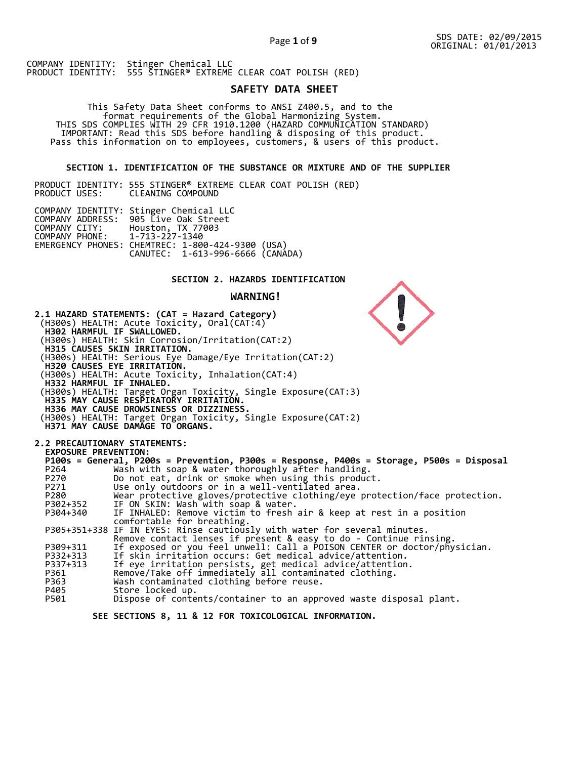Page **1** of **9**

COMPANY IDENTITY: Stinger Chemical LLC PRODUCT IDENTITY: 555 STINGER® EXTREME CLEAR COAT POLISH (RED)

# **SAFETY DATA SHEET**

 This Safety Data Sheet conforms to ANSI Z400.5, and to the format requirements of the Global Harmonizing System. THIS SDS COMPLIES WITH 29 CFR 1910.1200 (HAZARD COMMUNICATION STANDARD) IMPORTANT: Read this SDS before handling & disposing of this product. Pass this information on to employees, customers, & users of this product.

## **SECTION 1. IDENTIFICATION OF THE SUBSTANCE OR MIXTURE AND OF THE SUPPLIER**

PRODUCT IDENTITY: 555 STINGER® EXTREME CLEAR COAT POLISH (RED) CLEANING COMPOUND

|                               | COMPANY IDENTITY: Stinger Chemical LLC           |  |
|-------------------------------|--------------------------------------------------|--|
|                               | COMPANY ADDRESS: 905 Live Oak Street             |  |
| COMPANY CITY:                 | Houston, TX 77003                                |  |
| COMPANY PHONE: 1-713-227-1340 |                                                  |  |
|                               | EMERGENCY PHONES: CHEMTREC: 1-800-424-9300 (USA) |  |
|                               | CANUTEC: 1-613-996-6666 (CANÁDA)                 |  |

## **SECTION 2. HAZARDS IDENTIFICATION**

#### **WARNING!**



 **SEE SECTIONS 8, 11 & 12 FOR TOXICOLOGICAL INFORMATION.**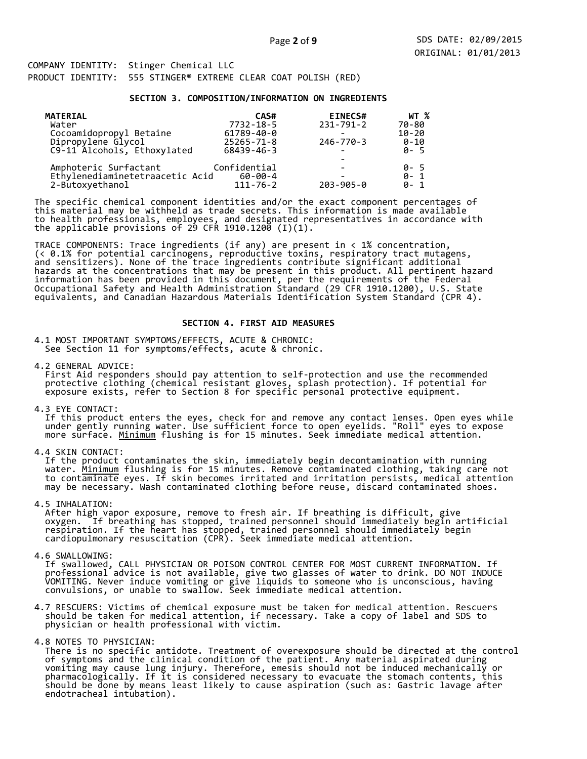#### **SECTION 3. COMPOSITION/INFORMATION ON INGREDIENTS**

| <b>MATERIAL</b>                 | CAS#           | <b>EINECS#</b>  | WT %      |
|---------------------------------|----------------|-----------------|-----------|
| Water                           | 7732-18-5      | $231 - 791 - 2$ | 70-80     |
| Cocoamidopropyl Betaine         | 61789-40-0     |                 | $10 - 20$ |
| Dipropylene Glycol              | 25265-71-8     | 246-770-3       | $0 - 10$  |
| C9-11 Alcohols, Ethoxylated     | 68439-46-3     |                 | $0 - 5$   |
|                                 |                |                 |           |
| Amphoteric Surfactant           | Confidential   |                 | 0- 5      |
| Ethylenediaminetetraacetic Acid | $60 - 00 - 4$  |                 | $0 - 1$   |
| 2-Butoxyethanol                 | $111 - 76 - 2$ | $203 - 905 - 0$ | $0 - 1$   |

The specific chemical component identities and/or the exact component percentages of this material may be withheld as trade secrets. This information is made available to health professionals, employees, and designated representatives in accordance with the applicable provisions of 29 CFR 1910.1200̄ (I)(1).  $\overline{\phantom{a}}$ 

TRACE COMPONENTS: Trace ingredients (if any) are present in < 1% concentration, (< 0.1% for potential carcinogens, reproductive toxins, respiratory tract mutagens, and sensitizers). None of the trace ingredients contribute significant additional hazards at the concentrations that may be present in this product. All pertinent hazard information has been provided in this document, per the requirements of the Federal Occupational Safety and Health Administration Standard (29 CFR 1910.1200), U.S. State equivalents, and Canadian Hazardous Materials Identification System Standard (CPR 4).

## **SECTION 4. FIRST AID MEASURES**

4.1 MOST IMPORTANT SYMPTOMS/EFFECTS, ACUTE & CHRONIC: See Section 11 for symptoms/effects, acute & chronic.

4.2 GENERAL ADVICE: First Aid responders should pay attention to self-protection and use the recommended protective clothing (chemical resistant gloves, splash protection). If potential for exposure exists, refer to Section 8 for specific personal protective equipment.

4.3 EYE CONTACT:

 If this product enters the eyes, check for and remove any contact lenses. Open eyes while under gently running water. Use sufficient force to open eyelids. "Roll" eyes to expose more surface. <u>Minimum</u> flushing is for 15 minutes. Seek immediate medical attention.

4.4 SKIN CONTACT:

 If the product contaminates the skin, immediately begin decontamination with running water. <u>Minimum</u> flushing is for 15 minutes. Remove contaminated clothing, taking care not to contaminate eyes. If skin becomes irritated and irritation persists, medical attention may be necessary. Wash contaminated clothing before reuse, discard contaminated shoes.

4.5 INHALATION:

 After high vapor exposure, remove to fresh air. If breathing is difficult, give oxygen. If breathing has stopped, trained personnel should immediately begin artificial respiration. If the heart has stopped, trained personnel should immediately begin cardiopulmonary resuscitation (CPR). Seek immediate medical attention.

4.6 SWALLOWING:

 If swallowed, CALL PHYSICIAN OR POISON CONTROL CENTER FOR MOST CURRENT INFORMATION. If professional advice is not available, give two glasses of water to drink. DO NOT INDUCE VOMITING. Never induce vomiting or give liquids to someone who is unconscious, having convulsions, or unable to swallow. Seek immediate medical attention.

4.7 RESCUERS: Victims of chemical exposure must be taken for medical attention. Rescuers should be taken for medical attention, if necessary. Take a copy of label and SDS to physician or health professional with victim.

4.8 NOTES TO PHYSICIAN:

 There is no specific antidote. Treatment of overexposure should be directed at the control of symptoms and the clinical condition of the patient. Any material aspirated during vomiting may cause lung injury. Therefore, emesis should not be induced mechanically or pharmacologically. If it is considered necessary to evacuate the stomach contents, this should be done by means least likely to cause aspiration (such as: Gastric lavage after endotracheal intubation).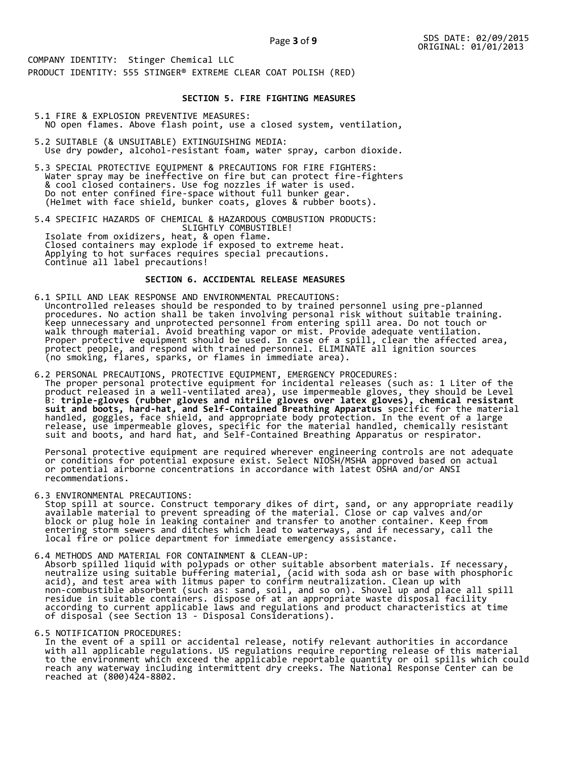## **SECTION 5. FIRE FIGHTING MEASURES**

- 5.1 FIRE & EXPLOSION PREVENTIVE MEASURES: NO open flames. Above flash point, use a closed system, ventilation,
- 5.2 SUITABLE (& UNSUITABLE) EXTINGUISHING MEDIA: Use dry powder, alcohol-resistant foam, water spray, carbon dioxide.
- 5.3 SPECIAL PROTECTIVE EQUIPMENT & PRECAUTIONS FOR FIRE FIGHTERS: Water spray may be ineffective on fire but can protect fire-fighters & cool closed containers. Use fog nozzles if water is used. Do not enter confined fire-space without full bunker gear. (Helmet with face shield, bunker coats, gloves & rubber boots).

5.4 SPECIFIC HAZARDS OF CHEMICAL & HAZARDOUS COMBUSTION PRODUCTS: SLIGHTLY COMBUSTIBLE! Isolate from oxidizers, heat, & open flame. Closed containers may explode if exposed to extreme heat. Applying to hot surfaces requires special precautions. Continue all label precautions!

## **SECTION 6. ACCIDENTAL RELEASE MEASURES**

- 6.1 SPILL AND LEAK RESPONSE AND ENVIRONMENTAL PRECAUTIONS: Uncontrolled releases should be responded to by trained personnel using pre-planned procedures. No action shall be taken involving personal risk without suitable training. Keep unnecessary and unprotected personnel from entering spill area. Do not touch or walk through material. Avoid breathing vapor or mist. Provide adequate ventilation. Proper protective equipment should be used. In case of a spill, clear the affected area, protect people, and respond with trained personnel. ELIMINATE all ignition sources (no smoking, flares, sparks, or flames in immediate area).
- 6.2 PERSONAL PRECAUTIONS, PROTECTIVE EQUIPMENT, EMERGENCY PROCEDURES: The proper personal protective equipment for incidental releases (such as: 1 Liter of the product released in a well-ventilated area), use impermeable gloves, they should be Level B: **triple-gloves (rubber gloves and nitrile gloves over latex gloves), chemical resistant suit and boots, hard-hat, and Self-Contained Breathing Apparatus** specific for the material handled, goggles, face shield, and appropriate body protection. In the event of a large release, use impermeable gloves, specific for the material handled, chemically resistant suit and boots, and hard hat, and Self-Contained Breathing Apparatus or respirator.

 Personal protective equipment are required wherever engineering controls are not adequate or conditions for potential exposure exist. Select NIOSH/MSHA approved based on actual or potential airborne concentrations in accordance with latest OSHA and/or ANSI recommendations.

6.3 ENVIRONMENTAL PRECAUTIONS:

 Stop spill at source. Construct temporary dikes of dirt, sand, or any appropriate readily available material to prevent spreading of the material. Close or cap valves and/or block or plug hole in leaking container and transfer to another container. Keep from entering storm sewers and ditches which lead to waterways, and if necessary, call the local fire or police department for immediate emergency assistance.

6.4 METHODS AND MATERIAL FOR CONTAINMENT & CLEAN-UP: Absorb spilled liquid with polypads or other suitable absorbent materials. If necessary, neutralize using suitable buffering material, (acid with soda ash or base with phosphoric acid), and test area with litmus paper to confirm neutralization. Clean up with non-combustible absorbent (such as: sand, soil, and so on). Shovel up and place all spill residue in suitable containers. dispose of at an appropriate waste disposal facility according to current applicable laws and regulations and product characteristics at time of disposal (see Section 13 - Disposal Considerations).

6.5 NOTIFICATION PROCEDURES:

 In the event of a spill or accidental release, notify relevant authorities in accordance with all applicable regulations. US regulations require reporting release of this material to the environment which exceed the applicable reportable quantity or oil spills which could reach any waterway including intermittent dry creeks. The National Response Center can be reached at (800)424-8802.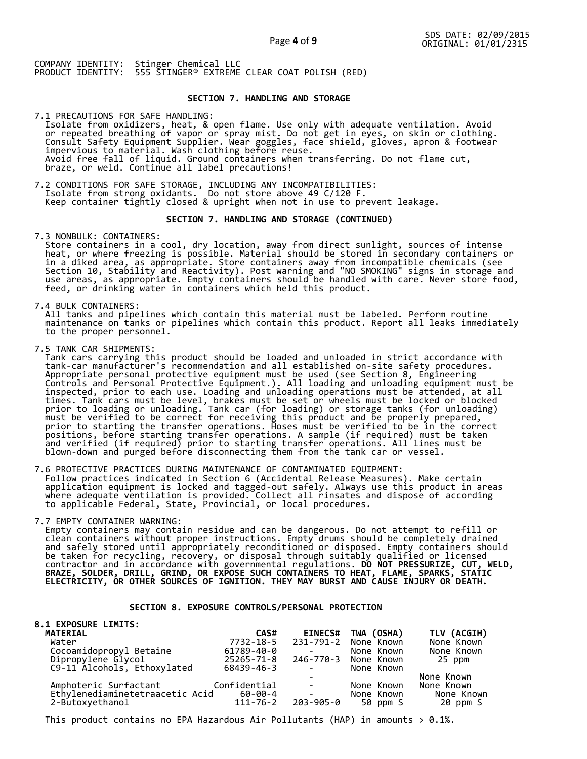## **SECTION 7. HANDLING AND STORAGE**

7.1 PRECAUTIONS FOR SAFE HANDLING: Isolate from oxidizers, heat, & open flame. Use only with adequate ventilation. Avoid or repeated breathing of vapor or spray mist. Do not get in eyes, on skin or clothing. Consult Safety Equipment Supplier. Wear goggles, face shield, gloves, apron & footwear impervious to material. Wash clothing before reuse. Avoid free fall of liquid. Ground containers when transferring. Do not flame cut, braze, or weld. Continue all label precautions!

7.2 CONDITIONS FOR SAFE STORAGE, INCLUDING ANY INCOMPATIBILITIES: Isolate from strong oxidants. Do not store above 49 C/120 F. Keep container tightly closed & upright when not in use to prevent leakage.

#### **SECTION 7. HANDLING AND STORAGE (CONTINUED)**

7.3 NONBULK: CONTAINERS:

 Store containers in a cool, dry location, away from direct sunlight, sources of intense heat, or where freezing is possible. Material should be stored in secondary containers or in a diked area, as appropriate. Store containers away from incompatible chemicals (see Section 10, Stability and Reactivity). Post warning and "NO SMOKING" signs in storage and use areas, as appropriate. Empty containers should be handled with care. Never store food, feed, or drinking water in containers which held this product.

7.4 BULK CONTAINERS:

 All tanks and pipelines which contain this material must be labeled. Perform routine maintenance on tanks or pipelines which contain this product. Report all leaks immediately to the proper personnel.

7.5 TANK CAR SHIPMENTS:

 Tank cars carrying this product should be loaded and unloaded in strict accordance with tank-car manufacturer's recommendation and all established on-site safety procedures. Appropriate personal protective equipment must be used (see Section 8, Engineering Controls and Personal Protective Equipment.). All loading and unloading equipment must be inspected, prior to each use. Loading and unloading operations must be attended, at all times. Tank cars must be level, brakes must be set or wheels must be locked or blocked prior to loading or unloading. Tank car (for loading) or storage tanks (for unloading) must be verified to be correct for receiving this product and be properly prepared, prior to starting the transfer operations. Hoses must be verified to be in the correct positions, before starting transfer operations. A sample (if required) must be taken and verified (if required) prior to starting transfer operations. All lines must be blown-down and purged before disconnecting them from the tank car or vessel.

7.6 PROTECTIVE PRACTICES DURING MAINTENANCE OF CONTAMINATED EQUIPMENT: Follow practices indicated in Section 6 (Accidental Release Measures). Make certain application equipment is locked and tagged-out safely. Always use this product in areas where adequate ventilation is provided. Collect all rinsates and dispose of according to applicable Federal, State, Provincial, or local procedures.

7.7 EMPTY CONTAINER WARNING:

 Empty containers may contain residue and can be dangerous. Do not attempt to refill or clean containers without proper instructions. Empty drums should be completely drained and safely stored until appropriately reconditioned or disposed. Empty containers should be taken for recycling, recovery, or disposal through suitably qualified or licensed contractor and in accordance with governmental regulations. **DO NOT PRESSURIZE, CUT, WELD, BRAZE, SOLDER, DRILL, GRIND, OR EXPOSE SUCH CONTAINERS TO HEAT, FLAME, SPARKS, STATIC ELECTRICITY, OR OTHER SOURCES OF IGNITION. THEY MAY BURST AND CAUSE INJURY OR DEATH.**

## **SECTION 8. EXPOSURE CONTROLS/PERSONAL PROTECTION**

| <b>8.1 EXPOSURE LIMITS:</b>        |                |                                                                                     |                      |             |
|------------------------------------|----------------|-------------------------------------------------------------------------------------|----------------------|-------------|
| MATERIAL                           | CAS#           | <b>EINECS#</b>                                                                      | TWA (OSHA)           | TLV (ACGIH) |
| Water                              | 7732-18-5      |                                                                                     | 231-791-2 None Known | None Known  |
| Cocoamidopropyl Betaine            | 61789-40-0     |                                                                                     | None Known           | None Known  |
| Dipropylene Glycol                 | 25265-71-8     |                                                                                     | 246-770-3 None Known | 25 ppm      |
| C9-11 Alcohols, Ethoxylated        | 68439-46-3     | $\sim$                                                                              | None Known           |             |
|                                    |                |                                                                                     |                      | None Known  |
| Amphoteric Surfactant Confidential |                | <b>Contract Contract</b>                                                            | None Known           | None Known  |
| Ethylenediaminetetraacetic Acid    | 60-00-4        | $\mathcal{L}^{\text{max}}_{\text{max}}$ and $\mathcal{L}^{\text{max}}_{\text{max}}$ | None Known           | None Known  |
| 2-Butoxyethanol                    | $111 - 76 - 2$ | 203-905-0                                                                           | 50 ppm S             | 20 ppm S    |

This product contains no EPA Hazardous Air Pollutants (HAP) in amounts  $> 0.1\%$ .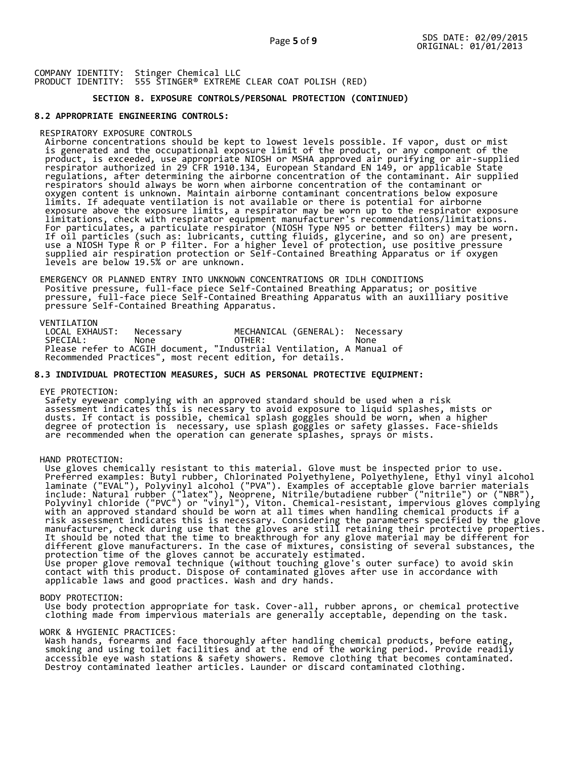## **SECTION 8. EXPOSURE CONTROLS/PERSONAL PROTECTION (CONTINUED)**

## **8.2 APPROPRIATE ENGINEERING CONTROLS:**

## RESPIRATORY EXPOSURE CONTROLS

 Airborne concentrations should be kept to lowest levels possible. If vapor, dust or mist is generated and the occupational exposure limit of the product, or any component of the product, is exceeded, use appropriate NIOSH or MSHA approved air purifying or air-supplied respirator authorized in 29 CFR 1910.134, European Standard EN 149, or applicable State regulations, after determining the airborne concentration of the contaminant. Air supplied respirators should always be worn when airborne concentration of the contaminant or oxygen content is unknown. Maintain airborne contaminant concentrations below exposure limits. If adequate ventilation is not available or there is potential for airborne exposure above the exposure limits, a respirator may be worn up to the respirator exposure limitations, check with respirator equipment manufacturer's recommendations/limitations. For particulates, a particulate respirator (NIOSH Type N95 or better filters) may be worn. If oil particles (such as: lubricants, cutting fluids, glycerine, and so on) are present, use a NIOSH Type R or P filter. For a higher level of protection, use positive pressure supplied air respiration protection or Self-Contained Breathing Apparatus or if oxygen levels are below 19.5% or are unknown.

 EMERGENCY OR PLANNED ENTRY INTO UNKNOWN CONCENTRATIONS OR IDLH CONDITIONS Positive pressure, full-face piece Self-Contained Breathing Apparatus; or positive pressure, full-face piece Self-Contained Breathing Apparatus with an auxilliary positive pressure Self-Contained Breathing Apparatus.

VENTILATION<br>LOCAL EXHAUST: LOCAL EXHAUST: Necessary MECHANICAL (GENERAL): Necessary SPECIAL: None OTHER: None Please refer to ACGIH document, "Industrial Ventilation, A Manual of Recommended Practices", most recent edition, for details.

## **8.3 INDIVIDUAL PROTECTION MEASURES, SUCH AS PERSONAL PROTECTIVE EQUIPMENT:**

#### EYE PROTECTION:

 Safety eyewear complying with an approved standard should be used when a risk assessment indicates this is necessary to avoid exposure to liquid splashes, mists or dusts. If contact is possible, chemical splash goggles should be worn, when a higher degree of protection is necessary, use splash goggles or safety glasses. Face-shields are recommended when the operation can generate splashes, sprays or mists.

#### HAND PROTECTION:

 Use gloves chemically resistant to this material. Glove must be inspected prior to use. Preferred examples: Butyl rubber, Chlorinated Polyethylene, Polyethylene, Ethyl vinyl alcohol laminate ("EVAL"), Polyvinyl alcohol ("PVA"). Examples of acceptable glove barrier materials include: Natural rubber ("latex"), Neoprene, Nitrile/butadiene rubber ("nitrile") or ("NBR"), Polyvinyl chloride ("PVC") or "vinyl"), Viton. Chemical-resistant, impervious gloves complying with an approved standard should be worn at all times when handling chemical products if a risk assessment indicates this is necessary. Considering the parameters specified by the glove manufacturer, check during use that the gloves are still retaining their protective properties. It should be noted that the time to breakthrough for any glove material may be different for different glove manufacturers. In the case of mixtures, consisting of several substances, the protection time of the gloves cannot be accurately estimated. Use proper glove removal technique (without touching glove's outer surface) to avoid skin contact with this product. Dispose of contaminated gloves after use in accordance with applicable laws and good practices. Wash and dry hands.

#### BODY PROTECTION:

 Use body protection appropriate for task. Cover-all, rubber aprons, or chemical protective clothing made from impervious materials are generally acceptable, depending on the task.

#### WORK & HYGIENIC PRACTICES:

 Wash hands, forearms and face thoroughly after handling chemical products, before eating, smoking and using toilet facilities and at the end of the working period. Provide readily accessible eye wash stations & safety showers. Remove clothing that becomes contaminated. Destroy contaminated leather articles. Launder or discard contaminated clothing.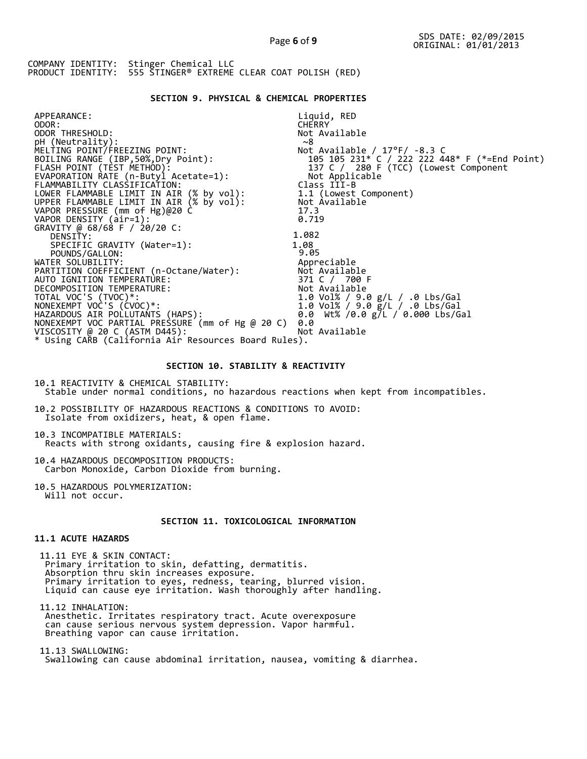## **SECTION 9. PHYSICAL & CHEMICAL PROPERTIES**

| APPEARANCE:                                                                          | Liquid, RED                                   |
|--------------------------------------------------------------------------------------|-----------------------------------------------|
| ODOR:                                                                                | <b>CHERRY</b>                                 |
| ODOR THRESHOLD:                                                                      | Not Available                                 |
| pH (Neutrality):                                                                     | ~8                                            |
| MELTING POINT/FREEZING POINT:                                                        | Not Available / $17^{\circ}$ F/ -8.3 C        |
| BOILING RANGE (IBP, 50%, Dry Point):                                                 | 105 105 231* C / 222 222 448* F (*=End Point) |
| FLASH POINT (TÈST METHOD):                                                           |                                               |
| EVAPORATION RATE (n-Butyl Acetate=1):                                                | Not Applicable                                |
| FLAMMABILITY CLASSIFICATION:                                                         | Class III-B                                   |
|                                                                                      | 1.1 (Lowest Component)                        |
| LOWER FLAMMABLE LIMIT IN AIR (% by vol):<br>UPPER FLAMMABLE LIMIT IN AIR (% by vol): | Not Available                                 |
| VAPOR PRESSURE (mm of Hg)@20 C                                                       | 17.3                                          |
| VAPOR DENSITY (air=1):                                                               | 0.719                                         |
| GRAVITY @ 68/68 F / 20/20 C:                                                         |                                               |
| DENSITY:                                                                             | 1.082                                         |
| SPECIFIC GRAVITY (Water=1):                                                          | 1.08                                          |
| POUNDS/GALLON:                                                                       | 9.05                                          |
| WATER SOLUBILITY:                                                                    | Appreciable                                   |
| PARTITION COEFFICIENT (n-Octane/Water):                                              | Not Available                                 |
| AUTO IGNITION TEMPERATURE:                                                           | 371 C / 700 F                                 |
| DECOMPOSITION TEMPERATURE:                                                           | Not Available                                 |
| TOTAL VOC'S (TVOC)*:                                                                 | 1.0 Vol% / 9.0 g/L / .0 Lbs/Gal               |
| NONEXEMPT VOC'S (CVOC)*:                                                             | 1.0 Vol% / 9.0 g/L / .0 Lbs/Gal               |
| HAZARDOUS AIR POLLUTANTS (HAPS):                                                     | 0.0 Wt% /0.0 g/L / 0.000 Lbs/Gal              |
| NONEXEMPT VOC PARTIAL PRESSURE (mm of Hg @ 20 C)                                     | 0.0                                           |
| VISCOSITY @ 20 C (ASTM D445):                                                        | Not Available                                 |
| * Using CARB (California Air Resources Board Rules).                                 |                                               |
|                                                                                      |                                               |

## **SECTION 10. STABILITY & REACTIVITY**

10.1 REACTIVITY & CHEMICAL STABILITY: Stable under normal conditions, no hazardous reactions when kept from incompatibles.

10.2 POSSIBILITY OF HAZARDOUS REACTIONS & CONDITIONS TO AVOID: Isolate from oxidizers, heat, & open flame.

10.3 INCOMPATIBLE MATERIALS: Reacts with strong oxidants, causing fire & explosion hazard.

10.4 HAZARDOUS DECOMPOSITION PRODUCTS: Carbon Monoxide, Carbon Dioxide from burning.

10.5 HAZARDOUS POLYMERIZATION: Will not occur.

# **SECTION 11. TOXICOLOGICAL INFORMATION**

## **11.1 ACUTE HAZARDS**

 11.11 EYE & SKIN CONTACT: Primary irritation to skin, defatting, dermatitis. Absorption thru skin increases exposure. Primary irritation to eyes, redness, tearing, blurred vision. Liquid can cause eye irritation. Wash thoroughly after handling.

 11.12 INHALATION: Anesthetic. Irritates respiratory tract. Acute overexposure can cause serious nervous system depression. Vapor harmful. Breathing vapor can cause irritation.

 11.13 SWALLOWING: Swallowing can cause abdominal irritation, nausea, vomiting & diarrhea.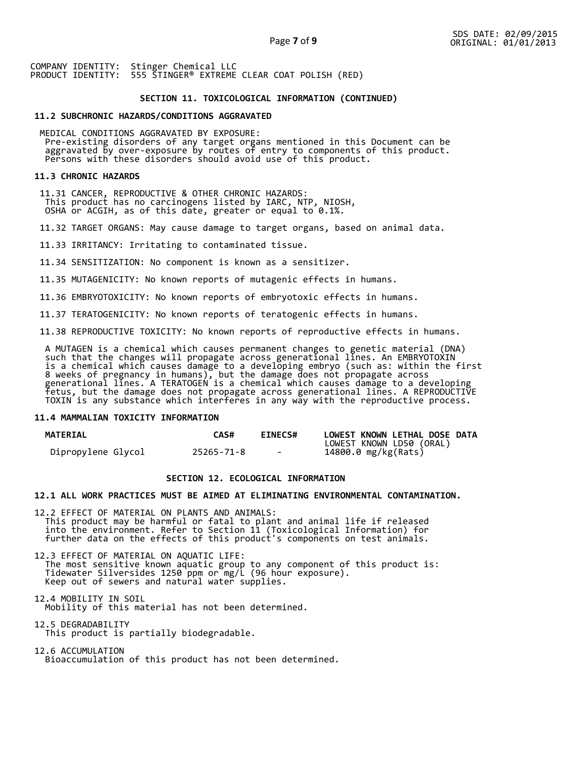## **SECTION 11. TOXICOLOGICAL INFORMATION (CONTINUED)**

## **11.2 SUBCHRONIC HAZARDS/CONDITIONS AGGRAVATED**

 MEDICAL CONDITIONS AGGRAVATED BY EXPOSURE: Pre-existing disorders of any target organs mentioned in this Document can be aggravated by over-exposure by routes of entry to components of this product. Persons with these disorders should avoid use of this product.

## **11.3 CHRONIC HAZARDS**

 11.31 CANCER, REPRODUCTIVE & OTHER CHRONIC HAZARDS: This product has no carcinogens listed by IARC, NTP, NIOSH, OSHA or ACGIH, as of this date, greater or equal to 0.1%.

11.32 TARGET ORGANS: May cause damage to target organs, based on animal data.

11.33 IRRITANCY: Irritating to contaminated tissue.

11.34 SENSITIZATION: No component is known as a sensitizer.

11.35 MUTAGENICITY: No known reports of mutagenic effects in humans.

11.36 EMBRYOTOXICITY: No known reports of embryotoxic effects in humans.

11.37 TERATOGENICITY: No known reports of teratogenic effects in humans.

11.38 REPRODUCTIVE TOXICITY: No known reports of reproductive effects in humans.

 A MUTAGEN is a chemical which causes permanent changes to genetic material (DNA) such that the changes will propagate across generational lines. An EMBRYOTOXIN is a chemical which causes damage to a developing embryo (such as: within the first 8 weeks of pregnancy in humans), but the damage does not propagate across generational lines. A TERATOGEN is a chemical which causes damage to a developing fetus, but the damage does not propagate across generational lines. A REPRODUCTIVE TOXIN is any substance which interferes in any way with the reproductive process.

## **11.4 MAMMALIAN TOXICITY INFORMATION**

| <b>MATERIAL</b>    | <b>CAS#</b> | <b>EINECS#</b> | LOWEST KNOWN LETHAL DOSE DATA |
|--------------------|-------------|----------------|-------------------------------|
|                    |             |                | LOWEST KNOWN LD50 (ORAL)      |
| Dipropylene Glycol | 25265-71-8  | $\sim$         | 14800.0 mg/kg(Rats)           |

## **SECTION 12. ECOLOGICAL INFORMATION**

## **12.1 ALL WORK PRACTICES MUST BE AIMED AT ELIMINATING ENVIRONMENTAL CONTAMINATION.**

12.2 EFFECT OF MATERIAL ON PLANTS AND ANIMALS: This product may be harmful or fatal to plant and animal life if released into the environment. Refer to Section 11 (Toxicological Information) for further data on the effects of this product's components on test animals.

12.3 EFFECT OF MATERIAL ON AQUATIC LIFE: The most sensitive known aquatic group to any component of this product is: Tidewater Silversides 1250 ppm or mg/L (96 hour exposure). Keep out of sewers and natural water supplies.

12.4 MOBILITY IN SOIL Mobility of this material has not been determined.

12.5 DEGRADABILITY This product is partially biodegradable.

12.6 ACCUMULATION Bioaccumulation of this product has not been determined.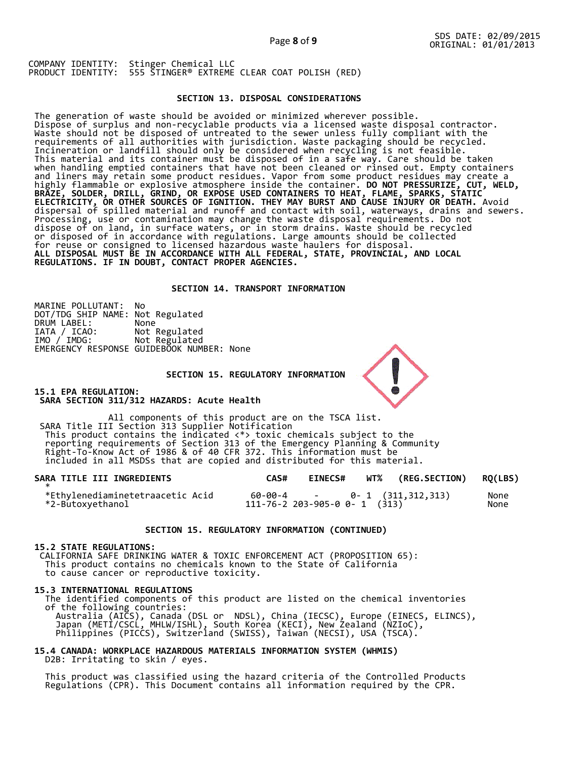## **SECTION 13. DISPOSAL CONSIDERATIONS**

The generation of waste should be avoided or minimized wherever possible. Dispose of surplus and non-recyclable products via a licensed waste disposal contractor. Waste should not be disposed of untreated to the sewer unless fully compliant with the requirements of all authorities with jurisdiction. Waste packaging should be recycled. Incineration or landfill should only be considered when recycling is not feasible. This material and its container must be disposed of in a safe way. Care should be taken when handling emptied containers that have not been cleaned or rinsed out. Empty containers and liners may retain some product residues. Vapor from some product residues may create a highly flammable or explosive atmosphere inside the container. **DO NOT PRESSURIZE, CUT, WELD, BRAZE, SOLDER, DRILL, GRIND, OR EXPOSE USED CONTAINERS TO HEAT, FLAME, SPARKS, STATIC ELECTRICITY, OR OTHER SOURCES OF IGNITION. THEY MAY BURST AND CAUSE INJURY OR DEATH.** Avoid dispersal of spilled material and runoff and contact with soil, waterways, drains and sewers. Processing, use or contamination may change the waste disposal requirements. Do not dispose of on land, in surface waters, or in storm drains. Waste should be recycled or disposed of in accordance with regulations. Large amounts should be collected for reuse or consigned to licensed hazardous waste haulers for disposal. **ALL DISPOSAL MUST BE IN ACCORDANCE WITH ALL FEDERAL, STATE, PROVINCIAL, AND LOCAL REGULATIONS. IF IN DOUBT, CONTACT PROPER AGENCIES.** 

## **SECTION 14. TRANSPORT INFORMATION**

MARINE POLLUTANT: No DOT/TDG SHIP NAME: Not Regulated DRUM LABEL:<br>IATA / ICAO:<br>IMO / IMDG: Not Regulated Not Regulated EMERGENCY RESPONSE GUIDEBOOK NUMBER: None

 **SECTION 15. REGULATORY INFORMATION** 

**15.1 EPA REGULATION: SARA SECTION 311/312 HAZARDS: Acute Health** 

All components of this product are on the TSCA list. SARA Title III Section 313 Supplier Notification This product contains the indicated <\*> toxic chemicals subject to the reporting requirements of Section 313 of the Emergency Planning & Community Right-To-Know Act of 1986 & of 40 CFR 372. This information must be included in all MSDSs that are copied and distributed for this material.

| SARA TITLE III INGREDIENTS                           | CAS# | <b>EINECS#</b> | WT% (REG.SECTION) RQ(LBS)                                           |              |
|------------------------------------------------------|------|----------------|---------------------------------------------------------------------|--------------|
| *Ethylenediaminetetraacetic Acid<br>*2-Butoxyethanol |      |                | $60-00-4$ - 0- 1 $(311,312,313)$<br>111-76-2 203-905-0 0- 1 $(313)$ | None<br>None |

#### **SECTION 15. REGULATORY INFORMATION (CONTINUED)**

## **15.2 STATE REGULATIONS:**

 CALIFORNIA SAFE DRINKING WATER & TOXIC ENFORCEMENT ACT (PROPOSITION 65): This product contains no chemicals known to the State of California to cause cancer or reproductive toxicity.

#### **15.3 INTERNATIONAL REGULATIONS**

 The identified components of this product are listed on the chemical inventories of the following countries: Australia (AICS), Canada (DSL or NDSL), China (IECSC), Europe (EINECS, ELINCS), Japan (METI/CSCL, MHLW/ISHL), South Korea (KECI), New Zealand (NZIoC), Philippines (PICCS), Switzerland (SWISS), Taiwan (NECSI), USA (TSCA).

## **15.4 CANADA: WORKPLACE HAZARDOUS MATERIALS INFORMATION SYSTEM (WHMIS)**  D2B: Irritating to skin / eyes.

 This product was classified using the hazard criteria of the Controlled Products Regulations (CPR). This Document contains all information required by the CPR.